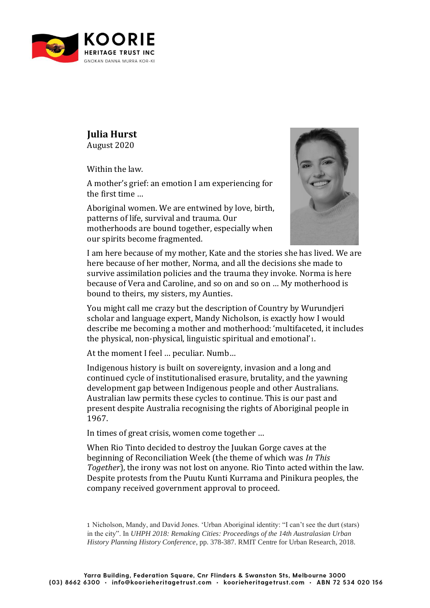

## **Julia Hurst** August 2020

Within the law.

A mother's grief: an emotion I am experiencing for the first time …

Aboriginal women. We are entwined by love, birth, patterns of life, survival and trauma. Our motherhoods are bound together, especially when our spirits become fragmented.



I am here because of my mother, Kate and the stories she has lived. We are here because of her mother, Norma, and all the decisions she made to survive assimilation policies and the trauma they invoke. Norma is here because of Vera and Caroline, and so on and so on … My motherhood is bound to theirs, my sisters, my Aunties.

You might call me crazy but the description of Country by Wurundjeri scholar and language expert, Mandy Nicholson, is exactly how I would describe me becoming a mother and motherhood: 'multifaceted, it includes the physical, non-physical, linguistic spiritual and emotional'1.

At the moment I feel … peculiar. Numb…

Indigenous history is built on sovereignty, invasion and a long and continued cycle of institutionalised erasure, brutality, and the yawning development gap between Indigenous people and other Australians. Australian law permits these cycles to continue. This is our past and present despite Australia recognising the rights of Aboriginal people in 1967.

In times of great crisis, women come together …

When Rio Tinto decided to destroy the Juukan Gorge caves at the beginning of Reconciliation Week (the theme of which was *In This Together*), the irony was not lost on anyone. Rio Tinto acted within the law. Despite protests from the Puutu Kunti Kurrama and Pinikura peoples, the company received government approval to proceed.

<sup>1</sup> Nicholson, Mandy, and David Jones. 'Urban Aboriginal identity: "I can't see the durt (stars) in the city". In *UHPH 2018: Remaking Cities: Proceedings of the 14th Australasian Urban History Planning History Conference*, pp. 378-387. RMIT Centre for Urban Research, 2018.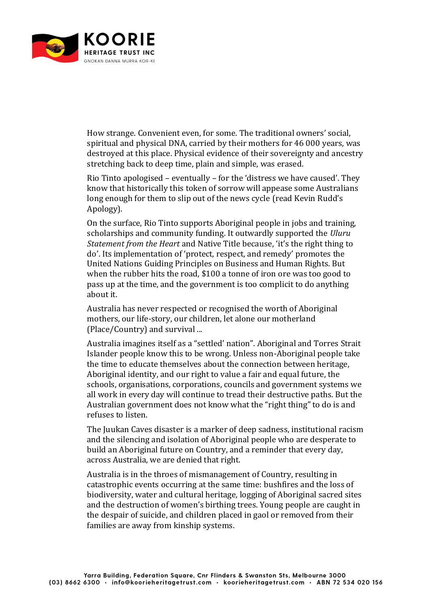

How strange. Convenient even, for some. The traditional owners' social, spiritual and physical DNA, carried by their mothers for 46 000 years, was destroyed at this place. Physical evidence of their sovereignty and ancestry stretching back to deep time, plain and simple, was erased.

Rio Tinto apologised – eventually – for the 'distress we have caused'. They know that historically this token of sorrow will appease some Australians long enough for them to slip out of the news cycle (read Kevin Rudd's Apology).

On the surface, Rio Tinto supports Aboriginal people in jobs and training, scholarships and community funding. It outwardly supported the *Uluru Statement from the Heart* and Native Title because, 'it's the right thing to do'. Its implementation of 'protect, respect, and remedy' promotes the United Nations Guiding Principles on Business and Human Rights. But when the rubber hits the road, \$100 a tonne of iron ore was too good to pass up at the time, and the government is too complicit to do anything about it.

Australia has never respected or recognised the worth of Aboriginal mothers, our life-story, our children, let alone our motherland (Place/Country) and survival ...

Australia imagines itself as a "settled' nation". Aboriginal and Torres Strait Islander people know this to be wrong. Unless non-Aboriginal people take the time to educate themselves about the connection between heritage, Aboriginal identity, and our right to value a fair and equal future, the schools, organisations, corporations, councils and government systems we all work in every day will continue to tread their destructive paths. But the Australian government does not know what the "right thing" to do is and refuses to listen.

The Juukan Caves disaster is a marker of deep sadness, institutional racism and the silencing and isolation of Aboriginal people who are desperate to build an Aboriginal future on Country, and a reminder that every day, across Australia, we are denied that right.

Australia is in the throes of mismanagement of Country, resulting in catastrophic events occurring at the same time: bushfires and the loss of biodiversity, water and cultural heritage, logging of Aboriginal sacred sites and the destruction of women's birthing trees. Young people are caught in the despair of suicide, and children placed in gaol or removed from their families are away from kinship systems.